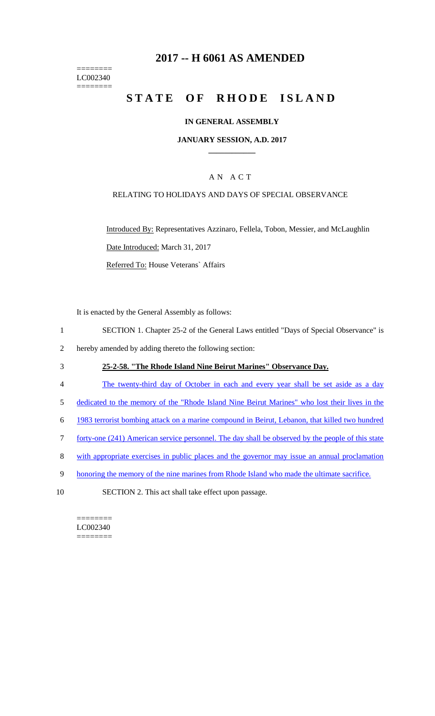#### ======== LC002340 ========

## **2017 -- H 6061 AS AMENDED**

# STATE OF RHODE ISLAND

#### **IN GENERAL ASSEMBLY**

#### **JANUARY SESSION, A.D. 2017 \_\_\_\_\_\_\_\_\_\_\_\_**

#### A N A C T

#### RELATING TO HOLIDAYS AND DAYS OF SPECIAL OBSERVANCE

Introduced By: Representatives Azzinaro, Fellela, Tobon, Messier, and McLaughlin Date Introduced: March 31, 2017 Referred To: House Veterans` Affairs

It is enacted by the General Assembly as follows:

- 1 SECTION 1. Chapter 25-2 of the General Laws entitled "Days of Special Observance" is
- 2 hereby amended by adding thereto the following section:

#### 3 **25-2-58. "The Rhode Island Nine Beirut Marines" Observance Day.**

- 4 The twenty-third day of October in each and every year shall be set aside as a day
- 5 dedicated to the memory of the "Rhode Island Nine Beirut Marines" who lost their lives in the
- 6 1983 terrorist bombing attack on a marine compound in Beirut, Lebanon, that killed two hundred
- 7 forty-one (241) American service personnel. The day shall be observed by the people of this state
- 8 with appropriate exercises in public places and the governor may issue an annual proclamation
- 9 honoring the memory of the nine marines from Rhode Island who made the ultimate sacrifice.
- 10 SECTION 2. This act shall take effect upon passage.

======== LC002340 ========